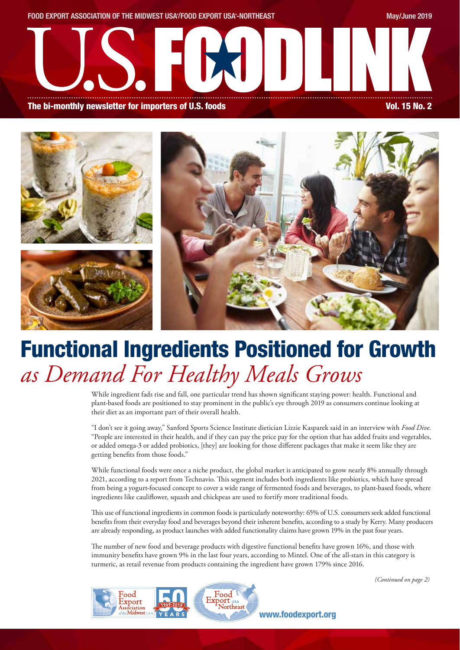

# Functional Ingredients Positioned for Growth *as Demand For Healthy Meals Grows*

While ingredient fads rise and fall, one particular trend has shown significant staying power: health. Functional and plant-based foods are positioned to stay prominent in the public's eye through 2019 as consumers continue looking at their diet as an important part of their overall health.

"I don't see it going away," Sanford Sports Science Institute dietician Lizzie Kasparek said in an interview with *Food Dive*. "People are interested in their health, and if they can pay the price pay for the option that has added fruits and vegetables, or added omega-3 or added probiotics, [they] are looking for those different packages that make it seem like they are getting benefits from those foods."

While functional foods were once a niche product, the global market is anticipated to grow nearly 8% annually through 2021, according to a report from Technavio. This segment includes both ingredients like probiotics, which have spread from being a yogurt-focused concept to cover a wide range of fermented foods and beverages, to plant-based foods, where ingredients like cauliflower, squash and chickpeas are used to fortify more traditional foods.

This use of functional ingredients in common foods is particularly noteworthy: 65% of U.S. consumers seek added functional benefits from their everyday food and beverages beyond their inherent benefits, according to a study by Kerry. Many producers are already responding, as product launches with added functionality claims have grown 19% in the past four years.

The number of new food and beverage products with digestive functional benefits have grown 16%, and those with immunity benefits have grown 9% in the last four years, according to Mintel. One of the all-stars in this category is turmeric, as retail revenue from products containing the ingredient have grown 179% since 2016.

*(Continued on page 2)*

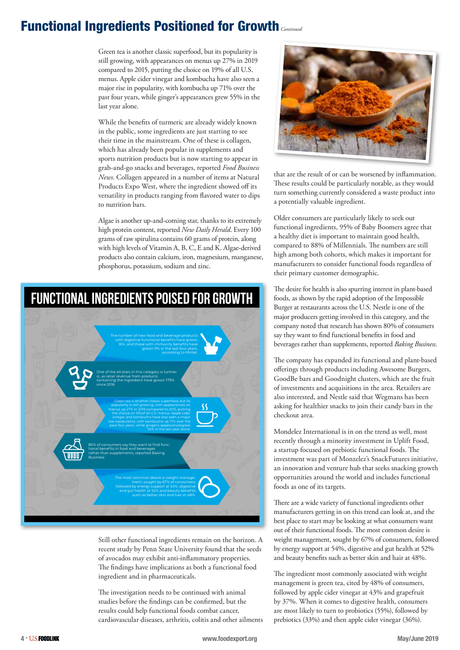### Functional Ingredients Positioned for Growth *Continued*

Green tea is another classic superfood, but its popularity is still growing, with appearances on menus up 27% in 2019 compared to 2015, putting the choice on 19% of all U.S. menus. Apple cider vinegar and kombucha have also seen a major rise in popularity, with kombucha up 71% over the past four years, while ginger's appearances grew 55% in the last year alone.

While the benefits of turmeric are already widely known in the public, some ingredients are just starting to see their time in the mainstream. One of these is collagen, which has already been popular in supplements and sports nutrition products but is now starting to appear in grab-and-go snacks and beverages, reported *Food Business News*. Collagen appeared in a number of items at Natural Products Expo West, where the ingredient showed off its versatility in products ranging from flavored water to dips to nutrition bars.

Algae is another up-and-coming star, thanks to its extremely high protein content, reported *New Daily Herald*. Every 100 grams of raw spirulina contains 60 grams of protein, along with high levels of Vitamin A, B, C, E and K. Algae-derived products also contain calcium, iron, magnesium, manganese, phosphorus, potassium, sodium and zinc.



Still other functional ingredients remain on the horizon. A recent study by Penn State University found that the seeds of avocados may exhibit anti-inflammatory properties. The findings have implications as both a functional food ingredient and in pharmaceuticals.

The investigation needs to be continued with animal studies before the findings can be confirmed, but the results could help functional foods combat cancer, cardiovascular diseases, arthritis, colitis and other ailments



that are the result of or can be worsened by inflammation. These results could be particularly notable, as they would turn something currently considered a waste product into a potentially valuable ingredient.

Older consumers are particularly likely to seek out functional ingredients, 95% of Baby Boomers agree that a healthy diet is important to maintain good health, compared to 88% of Millennials. The numbers are still high among both cohorts, which makes it important for manufacturers to consider functional foods regardless of their primary customer demographic.

The desire for health is also spurring interest in plant-based foods, as shown by the rapid adoption of the Impossible Burger at restaurants across the U.S. Nestle is one of the major producers getting involved in this category, and the company noted that research has shown 80% of consumers say they want to find functional benefits in food and beverages rather than supplements, reported *Baking Business*.

The company has expanded its functional and plant-based offerings through products including Awesome Burgers, GoodBe bars and Goodnight clusters, which are the fruit of investments and acquisitions in the area. Retailers are also interested, and Nestle said that Wegmans has been asking for healthier snacks to join their candy bars in the checkout area.

Mondelez International is in on the trend as well, most recently through a minority investment in Uplift Food, a startup focused on prebiotic functional foods. The investment was part of Monzelez's SnackFutures initiative, an innovation and venture hub that seeks snacking growth opportunities around the world and includes functional foods as one of its targets.

There are a wide variety of functional ingredients other manufacturers getting in on this trend can look at, and the best place to start may be looking at what consumers want out of their functional foods. The most common desire is weight management, sought by 67% of consumers, followed by energy support at 54%, digestive and gut health at 52% and beauty benefits such as better skin and hair at 48%.

The ingredient most commonly associated with weight management is green tea, cited by 48% of consumers, followed by apple cider vinegar at 43% and grapefruit by 37%. When it comes to digestive health, consumers are most likely to turn to probiotics (55%), followed by prebiotics (33%) and then apple cider vinegar (36%).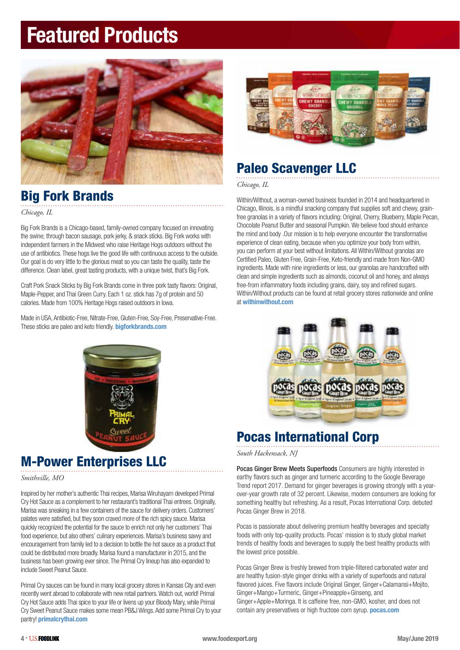# Featured Products



### Big Fork Brands

*Chicago, IL*

Big Fork Brands is a Chicago-based, family-owned company focused on innovating the swine; through bacon sausage, pork jerky, & snack sticks. Big Fork works with independent farmers in the Midwest who raise Heritage Hogs outdoors without the use of antibiotics. These hogs live the good life with continuous access to the outside. Our goal is do very little to the glorious meat so you can taste the quality, taste the difference. Clean label, great tasting products, with a unique twist, that's Big Fork.

Craft Pork Snack Sticks by Big Fork Brands come in three pork tasty flavors: Original, Maple-Pepper, and Thai Green Curry. Each 1 oz. stick has 7g of protein and 50 calories. Made from 100% Heritage Hogs raised outdoors in Iowa.

Made in USA, Antibiotic-Free, Nitrate-Free, Gluten-Free, Soy-Free, Preservative-Free. These sticks are paleo and keto friendly. **bigforkbrands.com** 



### M-Power Enterprises LLC

*Smithville, MO* 

Inspired by her mother's authentic Thai recipes, Marisa Wiruhayarn developed Primal Cry Hot Sauce as a complement to her restaurant's traditional Thai entrees. Originally, Marisa was sneaking in a few containers of the sauce for delivery orders. Customers' palates were satisfied, but they soon craved more of the rich spicy sauce. Marisa quickly recognized the potential for the sauce to enrich not only her customers' Thai food experience, but also others' culinary experiences. Marisa's business savvy and encouragement from family led to a decision to bottle the hot sauce as a product that could be distributed more broadly. Marisa found a manufacturer in 2015, and the business has been growing ever since. The Primal Cry lineup has also expanded to include Sweet Peanut Sauce.

Primal Cry sauces can be found in many local grocery stores in Kansas City and even recently went abroad to collaborate with new retail partners. Watch out, world! Primal Cry Hot Sauce adds Thai spice to your life or livens up your Bloody Mary, while Primal Cry Sweet Peanut Sauce makes some mean PB&J Wings. Add some Primal Cry to your pantry! primalcrythai.com



### Paleo Scavenger LLC

*Chicago, IL* 

Within/Without, a woman-owned business founded in 2014 and headquartered in Chicago, Illinois, is a mindful snacking company that supplies soft and chewy, grainfree granolas in a variety of flavors including: Original, Cherry, Blueberry, Maple Pecan, Chocolate Peanut Butter and seasonal Pumpkin. We believe food should enhance the mind and body .Our mission is to help everyone encounter the transformative experience of clean eating, because when you optimize your body from within, you can perform at your best without limitations. All Within/Without granolas are Certified Paleo, Gluten Free, Grain-Free, Keto-friendly and made from Non-GMO ingredients. Made with nine ingredients or less, our granolas are handcrafted with clean and simple ingredients such as almonds, coconut oil and honey, and always free-from inflammatory foods including grains, dairy, soy and refined sugars. Within/Without products can be found at retail grocery stores nationwide and online at withinwithout.com



### Pocas International Corp

*South Hackensack, NJ*

Pocas Ginger Brew Meets Superfoods Consumers are highly interested in earthy flavors such as ginger and turmeric according to the Google Beverage Trend report 2017. Demand for ginger beverages is growing strongly with a yearover-year growth rate of 32 percent. Likewise, modern consumers are looking for something healthy but refreshing. As a result, Pocas International Corp. debuted Pocas Ginger Brew in 2018.

Pocas is passionate about delivering premium healthy beverages and specialty foods with only top-quality products. Pocas' mission is to study global market trends of healthy foods and beverages to supply the best healthy products with the lowest price possible.

Pocas Ginger Brew is freshly brewed from triple-filtered carbonated water and are healthy fusion-style ginger drinks with a variety of superfoods and natural flavored juices. Five flavors include Original Ginger, Ginger+Calamansi+Mojito, Ginger+Mango+Turmeric, Ginger+Pineapple+Ginseng, and Ginger+Apple+Moringa. It is caffeine free, non-GMO, kosher, and does not contain any preservatives or high fructose corn syrup. pocas.com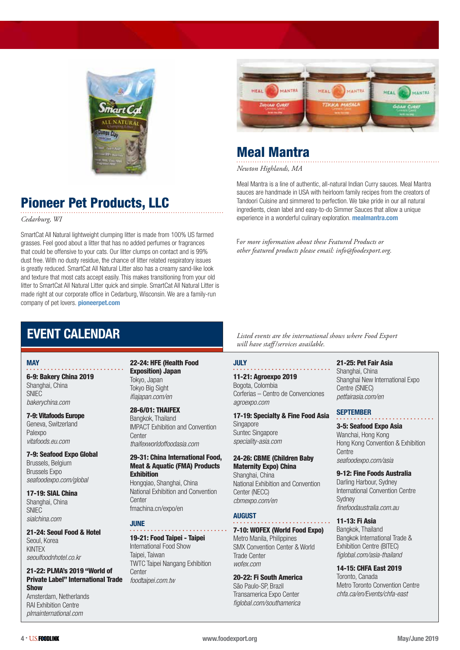



### Meal Mantra

*Newton Highlands, MA* 

Meal Mantra is a line of authentic, all-natural Indian Curry sauces. Meal Mantra sauces are handmade in USA with heirloom family recipes from the creators of Tandoori Cuisine and simmered to perfection. We take pride in our all natural ingredients, clean label and easy-to-do Simmer Sauces that allow a unique experience in a wonderful culinary exploration. **mealmantra.com** 

F*or more information about these Featured Products or other featured products please email: info@foodexport.org.*

### Pioneer Pet Products, LLC

*Cedarburg, WI* 

SmartCat All Natural lightweight clumping litter is made from 100% US farmed grasses. Feel good about a litter that has no added perfumes or fragrances that could be offensive to your cats. Our litter clumps on contact and is 99% dust free. With no dusty residue, the chance of litter related respiratory issues is greatly reduced. SmartCat All Natural Litter also has a creamy sand-like look and texture that most cats accept easily. This makes transitioning from your old litter to SmartCat All Natural Litter quick and simple. SmartCat All Natural Litter is made right at our corporate office in Cedarburg, Wisconsin. We are a family-run company of pet lovers. **pioneerpet.com** 

### EVENT CALENDAR

#### **MAY**

6-9: Bakery China 2019 Shanghai, China SNIEC *bakerychina.com*

7-9: Vitafoods Europe Geneva, Switzerland Palexpo *vitafoods.eu.com*

7-9: Seafood Expo Global Brussels, Belgium Brussels Expo *seafoodexpo.com/global*

17-19: SIAL China Shanghai, China SNIEC *sialchina.com* 

21-24: Seoul Food & Hotel Seoul, Korea KINTEX *seoulfoodnhotel.co.kr*

#### 21-22: PLMA's 2019 "World of Private Label" International Trade Show

Amsterdam, Netherlands RAI Exhibition Centre *plmainternational.com*

22-24: HFE (Health Food Exposition) Japan Tokyo, Japan Tokyo Big Sight *ifiajapan.com/en* 

28-6/01: THAIFEX Bangkok, Thailand IMPACT Exhibition and Convention **Center** *thaifexworldoffoodasia.com*

#### 29-31: China International Food, Meat & Aquatic (FMA) Products Exhibition

Hongqiao, Shanghai, China National Exhibition and Convention **Center** fmachina.cn/expo/en

#### **JUNE**

#### 19-21: Food Taipei - Taipei

International Food Show Taipei, Taiwan TWTC Taipei Nangang Exhibition **Center** *foodtaipei.com.tw*

*Listed events are the international shows where Food Export will have staff /services available.*

#### JULY

11-21: Agroexpo 2019 Bogota, Colombia Corferias – Centro de Convenciones *agroexpo.com* 

#### 17-19: Specialty & Fine Food Asia Singapore Suntec Singapore

*speciality-asia.com* 

#### 24-26: CBME (Children Baby Maternity Expo) China

Shanghai, China National Exhibition and Convention Center (NECC) *cbmexpo.com/en*

#### AUGUST

#### 7-10: WOFEX (World Food Expo)

Metro Manila, Philippines SMX Convention Center & World Trade Center *wofex.com* 

#### 20-22: Fi South America

São Paulo-SP, Brazil Transamerica Expo Center *figlobal.com/southamerica* 

#### 21-25: Pet Fair Asia

Shanghai, China Shanghai New International Expo Centre (SNIEC) *petfairasia.com/en*

#### **SEPTEMBER**

3-5: Seafood Expo Asia Wanchai, Hong Kong Hong Kong Convention & Exhibition **Centre** *seafoodexpo.com/asia* 

#### 9-12: Fine Foods Australia

Darling Harbour, Sydney International Convention Centre **Sydney** *finefoodaustralia.com.au* 

#### 11-13: Fi Asia

Bangkok, Thailand Bangkok International Trade & Exhibition Centre (BITEC) *figlobal.com/asia-thailand* 

14-15: CHFA East 2019

Toronto, Canada Metro Toronto Convention Centre *chfa.ca/en/Events/chfa-east*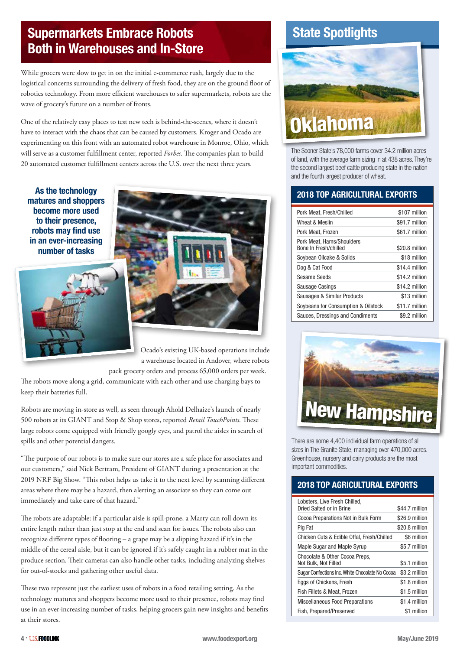### Supermarkets Embrace Robots Both in Warehouses and In-Store

While grocers were slow to get in on the initial e-commerce rush, largely due to the logistical concerns surrounding the delivery of fresh food, they are on the ground floor of robotics technology. From more efficient warehouses to safer supermarkets, robots are the wave of grocery's future on a number of fronts.

One of the relatively easy places to test new tech is behind-the-scenes, where it doesn't have to interact with the chaos that can be caused by customers. Kroger and Ocado are experimenting on this front with an automated robot warehouse in Monroe, Ohio, which will serve as a customer fulfillment center, reported *Forbes*. The companies plan to build 20 automated customer fulfillment centers across the U.S. over the next three years.

As the technology matures and shoppers become more used to their presence, robots may find use in an ever-increasing number of tasks





Ocado's existing UK-based operations include a warehouse located in Andover, where robots pack grocery orders and process 65,000 orders per week.

The robots move along a grid, communicate with each other and use charging bays to keep their batteries full.

Robots are moving in-store as well, as seen through Ahold Delhaize's launch of nearly 500 robots at its GIANT and Stop & Shop stores, reported *Retail TouchPoints*. These large robots come equipped with friendly googly eyes, and patrol the aisles in search of spills and other potential dangers.

"The purpose of our robots is to make sure our stores are a safe place for associates and our customers," said Nick Bertram, President of GIANT during a presentation at the 2019 NRF Big Show. "This robot helps us take it to the next level by scanning different areas where there may be a hazard, then alerting an associate so they can come out immediately and take care of that hazard."

The robots are adaptable: if a particular aisle is spill-prone, a Marty can roll down its entire length rather than just stop at the end and scan for issues. The robots also can recognize different types of flooring – a grape may be a slipping hazard if it's in the middle of the cereal aisle, but it can be ignored if it's safely caught in a rubber mat in the produce section. Their cameras can also handle other tasks, including analyzing shelves for out-of-stocks and gathering other useful data.

These two represent just the earliest uses of robots in a food retailing setting. As the technology matures and shoppers become more used to their presence, robots may find use in an ever-increasing number of tasks, helping grocers gain new insights and benefits at their stores.

### State Spotlights



The Sooner State's 78,000 farms cover 34.2 million acres of land, with the average farm sizing in at 438 acres. They're the second largest beef cattle producing state in the nation and the fourth largest producer of wheat.

#### 2018 TOP AGRICULTURAL EXPORTS

| Pork Meat, Fresh/Chilled                           | \$107 million  |
|----------------------------------------------------|----------------|
| Wheat & Meslin                                     | \$91.7 million |
| Pork Meat, Frozen                                  | \$61.7 million |
| Pork Meat, Hams/Shoulders<br>Bone In Fresh/chilled | \$20.8 million |
| Soybean Oilcake & Solids                           | \$18 million   |
| Dog & Cat Food                                     | \$14.4 million |
| Sesame Seeds                                       | \$14.2 million |
| Sausage Casings                                    | \$14.2 million |
| Sausages & Similar Products                        | \$13 million   |
| Soybeans for Consumption & Oilstock                | \$11.7 million |
| Sauces, Dressings and Condiments                   | \$9.2 million  |



There are some 4,400 individual farm operations of all sizes in The Granite State, managing over 470,000 acres. Greenhouse, nursery and dairy products are the most important commodities.

#### 2018 TOP AGRICULTURAL EXPORTS

| Lobsters. Live Fresh Chilled.<br>Dried Salted or in Brine | \$44.7 million |
|-----------------------------------------------------------|----------------|
| Cocoa Preparations Not in Bulk Form                       | \$26.9 million |
| Pig Fat                                                   | \$20.8 million |
| Chicken Cuts & Edible Offal, Fresh/Chilled                | \$6 million    |
| Maple Sugar and Maple Syrup                               | \$5.7 million  |
| Chocolate & Other Cocoa Preps.<br>Not Bulk, Not Filled    | \$5.1 million  |
| Sugar Confections Inc. White Chocolate No Cocoa           | \$3.2 million  |
| Eggs of Chickens, Fresh                                   | \$1.8 million  |
| Fish Fillets & Meat, Frozen                               | \$1.5 million  |
| <b>Miscellaneous Food Preparations</b>                    | \$1.4 million  |
| Fish, Prepared/Preserved                                  | \$1 million    |